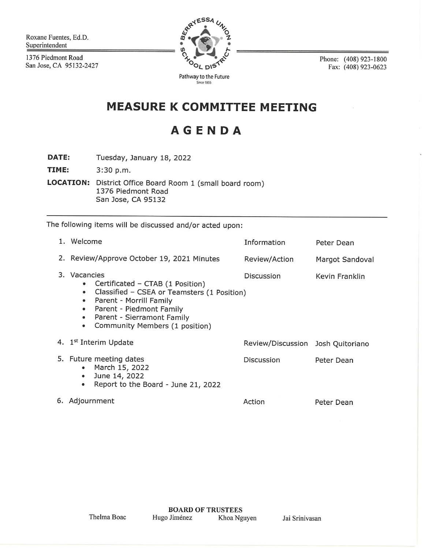Roxane Fuentes, Ed.D. Superintendent

1376 Piedmont Road San Jose, CA 95132-2427



Phone: (408) 923-1800 Fax: (408) 923-0623

## **MEASURE K COMMITTEE MEETING**

## **AGENDA**

Tuesday, January 18, 2022 **DATE:** 

TIME: 3:30 p.m.

LOCATION: District Office Board Room 1 (small board room) 1376 Piedmont Road San Jose, CA 95132

The following items will be discussed and/or acted upon:

|    | 1. Welcome                                                                                                                                                                                                                                                                                        | Information                       | Peter Dean             |
|----|---------------------------------------------------------------------------------------------------------------------------------------------------------------------------------------------------------------------------------------------------------------------------------------------------|-----------------------------------|------------------------|
|    | 2. Review/Approve October 19, 2021 Minutes                                                                                                                                                                                                                                                        | Review/Action                     | <b>Margot Sandoval</b> |
| 3. | Vacancies<br>Certificated - CTAB (1 Position)<br>$\bullet$<br>Classified - CSEA or Teamsters (1 Position)<br>$\bullet$<br>Parent - Morrill Family<br>$\bullet$<br>Parent - Piedmont Family<br>$\bullet$<br>Parent - Sierramont Family<br>$\bullet$<br>Community Members (1 position)<br>$\bullet$ | <b>Discussion</b>                 | Kevin Franklin         |
|    | 4. 1st Interim Update                                                                                                                                                                                                                                                                             | Review/Discussion Josh Quitoriano |                        |
|    | 5. Future meeting dates<br>March 15, 2022<br>$\bullet$<br>June 14, 2022<br>$\bullet$<br>Report to the Board - June 21, 2022<br>$\bullet$                                                                                                                                                          | Discussion                        | Peter Dean             |
|    | 6. Adjournment                                                                                                                                                                                                                                                                                    | Action                            | Peter Dean             |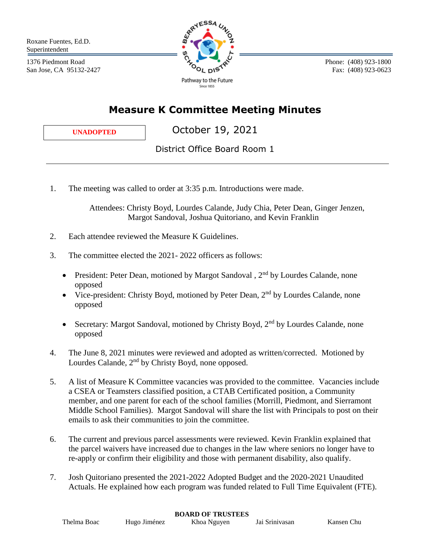Roxane Fuentes, Ed.D. Superintendent

1376 Piedmont Road San Jose, CA 95132-2427



 Phone: (408) 923-1800 Fax: (408) 923-0623

## **Measure K Committee Meeting Minutes**

**UNADOPTED**

October 19, 2021

District Office Board Room 1

1. The meeting was called to order at 3:35 p.m. Introductions were made.

 Attendees: Christy Boyd, Lourdes Calande, Judy Chia, Peter Dean, Ginger Jenzen, Margot Sandoval, Joshua Quitoriano, and Kevin Franklin

- 2. Each attendee reviewed the Measure K Guidelines.
- 3. The committee elected the 2021- 2022 officers as follows:
	- President: Peter Dean, motioned by Margot Sandoval,  $2<sup>nd</sup>$  by Lourdes Calande, none opposed
	- Vice-president: Christy Boyd, motioned by Peter Dean,  $2<sup>nd</sup>$  by Lourdes Calande, none opposed
	- Secretary: Margot Sandoval, motioned by Christy Boyd,  $2<sup>nd</sup>$  by Lourdes Calande, none opposed
- 4. The June 8, 2021 minutes were reviewed and adopted as written/corrected. Motioned by Lourdes Calande, 2<sup>nd</sup> by Christy Boyd, none opposed.
- 5. A list of Measure K Committee vacancies was provided to the committee. Vacancies include a CSEA or Teamsters classified position, a CTAB Certificated position, a Community member, and one parent for each of the school families (Morrill, Piedmont, and Sierramont Middle School Families). Margot Sandoval will share the list with Principals to post on their emails to ask their communities to join the committee.
- 6. The current and previous parcel assessments were reviewed. Kevin Franklin explained that the parcel waivers have increased due to changes in the law where seniors no longer have to re-apply or confirm their eligibility and those with permanent disability, also qualify.
- 7. Josh Quitoriano presented the 2021-2022 Adopted Budget and the 2020-2021 Unaudited Actuals. He explained how each program was funded related to Full Time Equivalent (FTE).